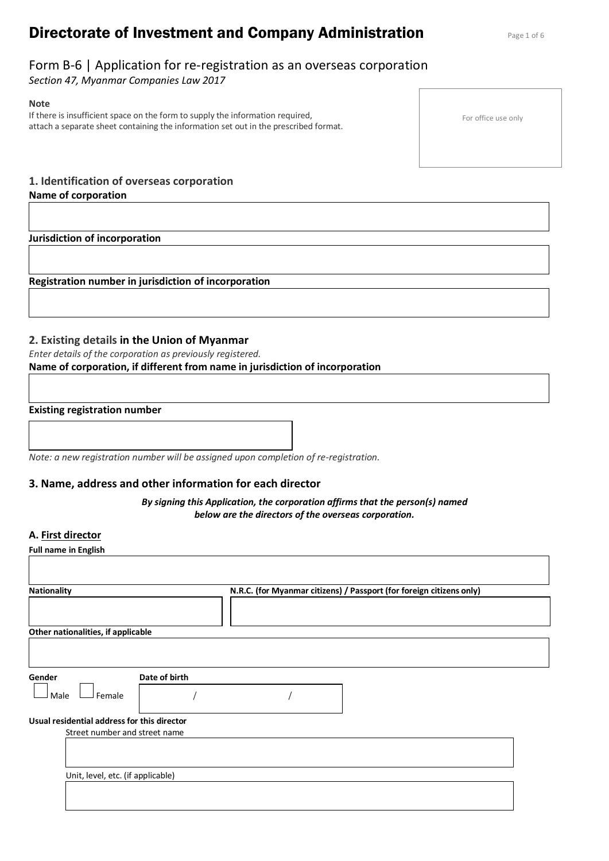# **Directorate of Investment and Company Administration** Page 1 of 6

# Form B-6 | Application for re-registration as an overseas corporation

*Section 47, Myanmar Companies Law 2017*

**Note** If there is insufficient space on the form to supply the information required, attach a separate sheet containing the information set out in the prescribed format.

For office use only

## **1. Identification of overseas corporation Name of corporation**

**Jurisdiction of incorporation** 

**Registration number in jurisdiction of incorporation** 

# **2. Existing details in the Union of Myanmar**

*Enter details of the corporation as previously registered.*

# **Name of corporation, if different from name in jurisdiction of incorporation**

### **Existing registration number**

*Note: a new registration number will be assigned upon completion of re-registration.*

# **3. Name, address and other information for each director**

*By signing this Application, the corporation affirms that the person(s) named below are the directors of the overseas corporation.*

## **A. First director**

| Other nationalities, if applicable                                           |  |
|------------------------------------------------------------------------------|--|
|                                                                              |  |
| Date of birth<br>Gender                                                      |  |
| Female<br>Male                                                               |  |
| Usual residential address for this director<br>Street number and street name |  |
|                                                                              |  |
| Unit, level, etc. (if applicable)                                            |  |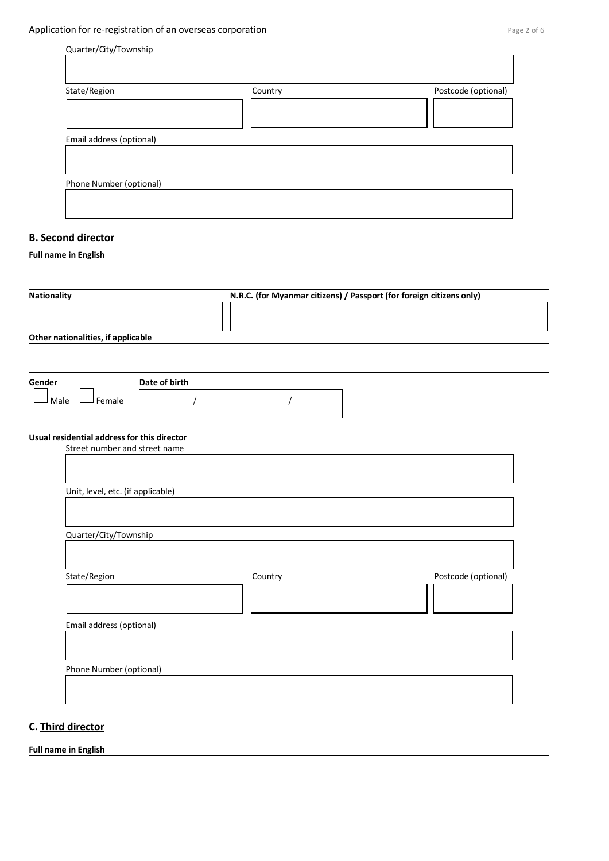┑

| Quarter/City/Township |
|-----------------------|
|                       |

| State/Region             | Country | Postcode (optional) |
|--------------------------|---------|---------------------|
|                          |         |                     |
| Email address (optional) |         |                     |
|                          |         |                     |
| Phone Number (optional)  |         |                     |

### **B. Second director**

| <b>Nationality</b>                          | N.R.C. (for Myanmar citizens) / Passport (for foreign citizens only) |                     |
|---------------------------------------------|----------------------------------------------------------------------|---------------------|
|                                             |                                                                      |                     |
| Other nationalities, if applicable          |                                                                      |                     |
|                                             |                                                                      |                     |
|                                             |                                                                      |                     |
| Date of birth<br>Gender                     |                                                                      |                     |
| Male<br>Female                              |                                                                      |                     |
|                                             |                                                                      |                     |
| Usual residential address for this director |                                                                      |                     |
| Street number and street name               |                                                                      |                     |
|                                             |                                                                      |                     |
|                                             |                                                                      |                     |
| Unit, level, etc. (if applicable)           |                                                                      |                     |
|                                             |                                                                      |                     |
| Quarter/City/Township                       |                                                                      |                     |
|                                             |                                                                      |                     |
|                                             |                                                                      |                     |
| State/Region                                | Country                                                              | Postcode (optional) |
|                                             |                                                                      |                     |
|                                             |                                                                      |                     |
| Email address (optional)                    |                                                                      |                     |
|                                             |                                                                      |                     |
|                                             |                                                                      |                     |
|                                             |                                                                      |                     |

# **C. Third director**

**Full name in English**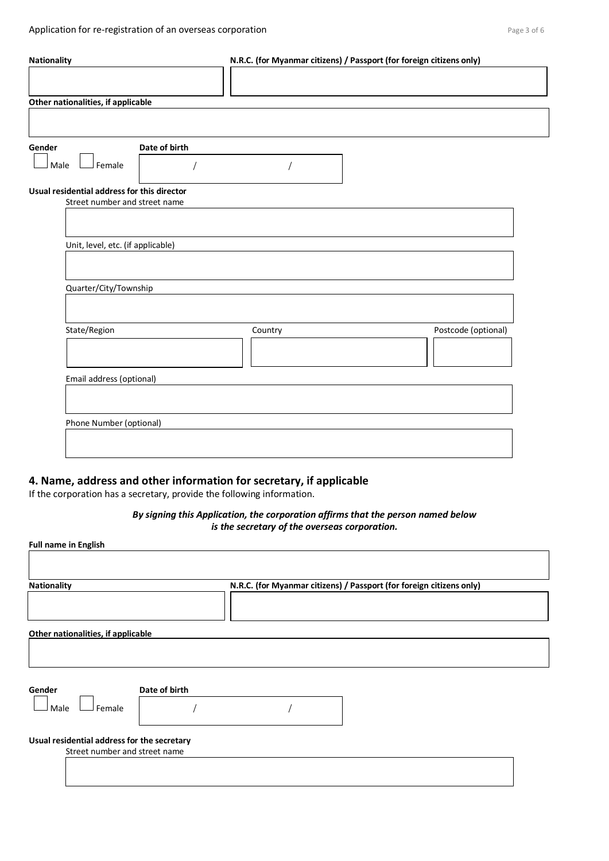| <b>Nationality</b>                          |               |         | N.R.C. (for Myanmar citizens) / Passport (for foreign citizens only) |  |
|---------------------------------------------|---------------|---------|----------------------------------------------------------------------|--|
|                                             |               |         |                                                                      |  |
| Other nationalities, if applicable          |               |         |                                                                      |  |
|                                             |               |         |                                                                      |  |
| Gender                                      | Date of birth |         |                                                                      |  |
| Female<br>Male                              |               |         |                                                                      |  |
| Usual residential address for this director |               |         |                                                                      |  |
| Street number and street name               |               |         |                                                                      |  |
|                                             |               |         |                                                                      |  |
| Unit, level, etc. (if applicable)           |               |         |                                                                      |  |
| Quarter/City/Township                       |               |         |                                                                      |  |
|                                             |               |         |                                                                      |  |
| State/Region                                |               | Country | Postcode (optional)                                                  |  |
| Email address (optional)                    |               |         |                                                                      |  |
|                                             |               |         |                                                                      |  |
| Phone Number (optional)                     |               |         |                                                                      |  |
|                                             |               |         |                                                                      |  |
|                                             |               |         |                                                                      |  |

# **4. Name, address and other information for secretary, if applicable**

If the corporation has a secretary, provide the following information.

### *By signing this Application, the corporation affirms that the person named below is the secretary of the overseas corporation.*

| <b>Nationality</b>                                                           |               | N.R.C. (for Myanmar citizens) / Passport (for foreign citizens only) |  |
|------------------------------------------------------------------------------|---------------|----------------------------------------------------------------------|--|
| Other nationalities, if applicable                                           |               |                                                                      |  |
| Gender<br>Male<br>Female                                                     | Date of birth |                                                                      |  |
| Usual residential address for the secretary<br>Street number and street name |               |                                                                      |  |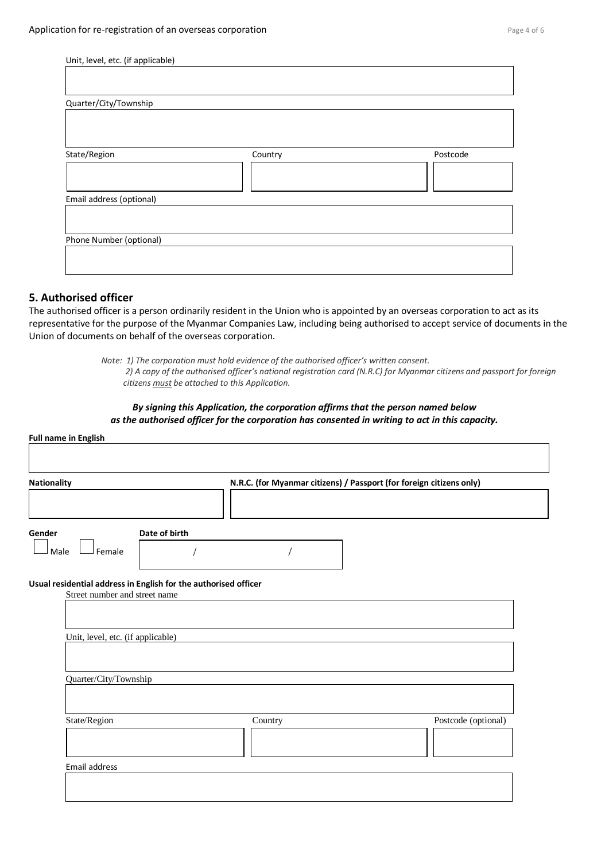| Unit, level, etc. (if applicable) |         |          |
|-----------------------------------|---------|----------|
|                                   |         |          |
| Quarter/City/Township             |         |          |
|                                   |         |          |
|                                   |         |          |
| State/Region                      | Country | Postcode |
|                                   |         |          |
|                                   |         |          |
| Email address (optional)          |         |          |
|                                   |         |          |
|                                   |         |          |
| Phone Number (optional)           |         |          |
|                                   |         |          |
|                                   |         |          |

### **5. Authorised officer**

The authorised officer is a person ordinarily resident in the Union who is appointed by an overseas corporation to act as its representative for the purpose of the Myanmar Companies Law, including being authorised to accept service of documents in the Union of documents on behalf of the overseas corporation.

> *Note: 1) The corporation must hold evidence of the authorised officer's written consent. 2) A copy of the authorised officer's national registration card (N.R.C) for Myanmar citizens and passport for foreign citizens must be attached to this Application.*

#### *By signing this Application, the corporation affirms that the person named below as the authorised officer for the corporation has consented in writing to act in this capacity.*

| <b>Nationality</b>                                                                               | N.R.C. (for Myanmar citizens) / Passport (for foreign citizens only) |                     |
|--------------------------------------------------------------------------------------------------|----------------------------------------------------------------------|---------------------|
| Date of birth<br>Gender<br>Female<br>Male                                                        |                                                                      |                     |
| Usual residential address in English for the authorised officer<br>Street number and street name |                                                                      |                     |
| Unit, level, etc. (if applicable)                                                                |                                                                      |                     |
|                                                                                                  |                                                                      |                     |
| Quarter/City/Township                                                                            |                                                                      |                     |
| State/Region                                                                                     | Country                                                              | Postcode (optional) |
|                                                                                                  |                                                                      |                     |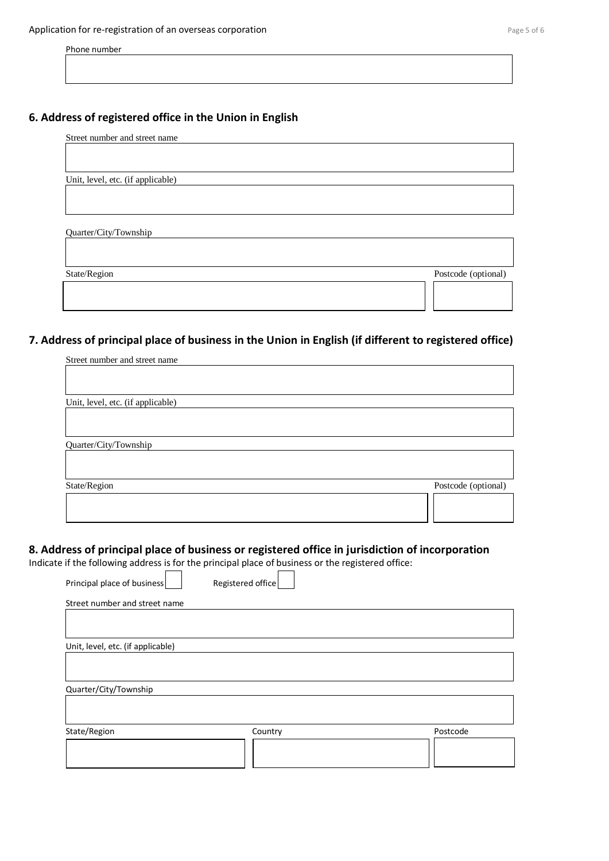Phone number

# **6. Address of registered office in the Union in English**

| Street number and street name     |                     |
|-----------------------------------|---------------------|
|                                   |                     |
|                                   |                     |
| Unit, level, etc. (if applicable) |                     |
|                                   |                     |
|                                   |                     |
|                                   |                     |
| Quarter/City/Township             |                     |
|                                   |                     |
|                                   |                     |
| State/Region                      | Postcode (optional) |
|                                   |                     |

# **7. Address of principal place of business in the Union in English (if different to registered office)**

| Street number and street name     |                     |
|-----------------------------------|---------------------|
|                                   |                     |
|                                   |                     |
| Unit, level, etc. (if applicable) |                     |
|                                   |                     |
|                                   |                     |
| Quarter/City/Township             |                     |
|                                   |                     |
|                                   |                     |
| State/Region                      | Postcode (optional) |
|                                   |                     |
|                                   |                     |
|                                   |                     |

## **8. Address of principal place of business or registered office in jurisdiction of incorporation**

Indicate if the following address is for the principal place of business or the registered office:

| Principal place of business       | Registered office |          |
|-----------------------------------|-------------------|----------|
| Street number and street name     |                   |          |
|                                   |                   |          |
| Unit, level, etc. (if applicable) |                   |          |
|                                   |                   |          |
|                                   |                   |          |
| Quarter/City/Township             |                   |          |
|                                   |                   |          |
|                                   |                   |          |
| State/Region                      | Country           | Postcode |
|                                   |                   |          |
|                                   |                   |          |